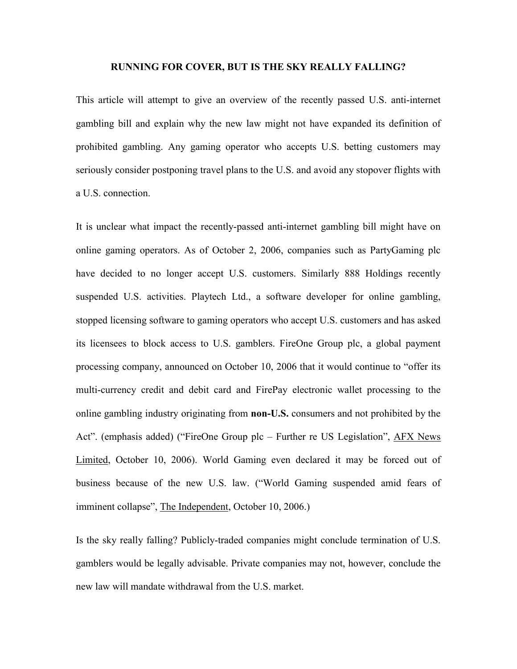#### **RUNNING FOR COVER, BUT IS THE SKY REALLY FALLING?**

This article will attempt to give an overview of the recently passed U.S. anti-internet gambling bill and explain why the new law might not have expanded its definition of prohibited gambling. Any gaming operator who accepts U.S. betting customers may seriously consider postponing travel plans to the U.S. and avoid any stopover flights with a U.S. connection.

It is unclear what impact the recently-passed anti-internet gambling bill might have on online gaming operators. As of October 2, 2006, companies such as PartyGaming plc have decided to no longer accept U.S. customers. Similarly 888 Holdings recently suspended U.S. activities. Playtech Ltd., a software developer for online gambling, stopped licensing software to gaming operators who accept U.S. customers and has asked its licensees to block access to U.S. gamblers. FireOne Group plc, a global payment processing company, announced on October 10, 2006 that it would continue to "offer its multi-currency credit and debit card and FirePay electronic wallet processing to the online gambling industry originating from **non-U.S.** consumers and not prohibited by the Act". (emphasis added) ("FireOne Group plc – Further re US Legislation", AFX News Limited, October 10, 2006). World Gaming even declared it may be forced out of business because of the new U.S. law. ("World Gaming suspended amid fears of imminent collapse", The Independent, October 10, 2006.)

Is the sky really falling? Publicly-traded companies might conclude termination of U.S. gamblers would be legally advisable. Private companies may not, however, conclude the new law will mandate withdrawal from the U.S. market.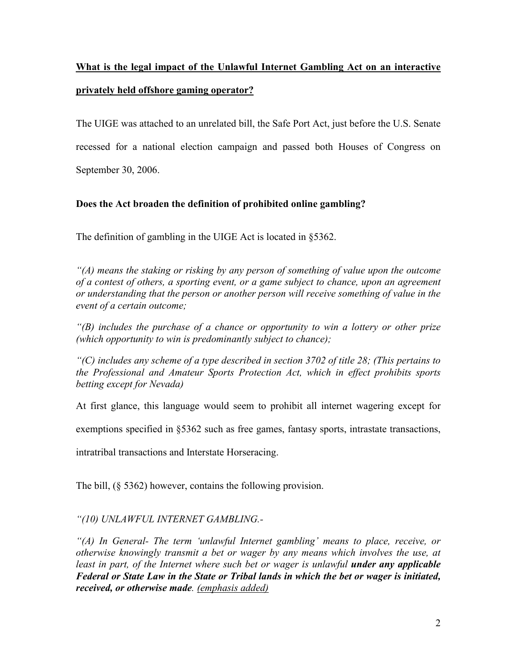# **What is the legal impact of the Unlawful Internet Gambling Act on an interactive privately held offshore gaming operator?**

The UIGE was attached to an unrelated bill, the Safe Port Act, just before the U.S. Senate recessed for a national election campaign and passed both Houses of Congress on September 30, 2006.

# **Does the Act broaden the definition of prohibited online gambling?**

The definition of gambling in the UIGE Act is located in §5362.

*"(A) means the staking or risking by any person of something of value upon the outcome of a contest of others, a sporting event, or a game subject to chance, upon an agreement or understanding that the person or another person will receive something of value in the event of a certain outcome;*

*"(B) includes the purchase of a chance or opportunity to win a lottery or other prize (which opportunity to win is predominantly subject to chance);*

*"(C) includes any scheme of a type described in section 3702 of title 28; (This pertains to the Professional and Amateur Sports Protection Act, which in effect prohibits sports betting except for Nevada)*

At first glance, this language would seem to prohibit all internet wagering except for

exemptions specified in §5362 such as free games, fantasy sports, intrastate transactions,

intratribal transactions and Interstate Horseracing.

The bill, (§ 5362) however, contains the following provision.

# *"(10) UNLAWFUL INTERNET GAMBLING.-*

*"(A) In General- The term 'unlawful Internet gambling' means to place, receive, or otherwise knowingly transmit a bet or wager by any means which involves the use, at*  least in part, of the Internet where such bet or wager is unlawful **under any applicable** *Federal or State Law in the State or Tribal lands in which the bet or wager is initiated, received, or otherwise made. (emphasis added)*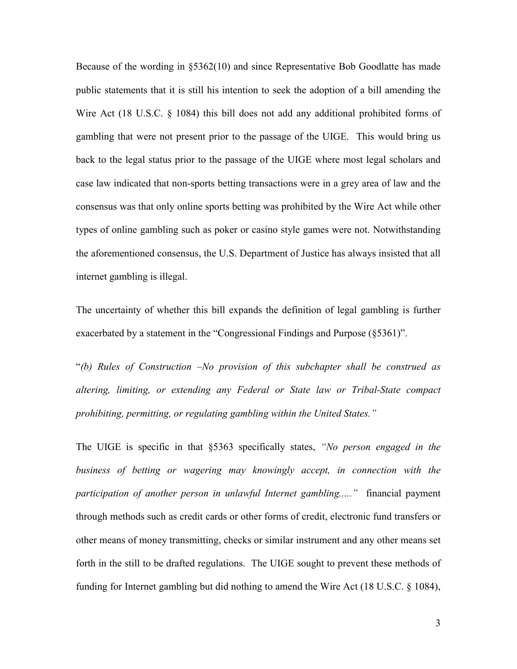Because of the wording in §5362(10) and since Representative Bob Goodlatte has made public statements that it is still his intention to seek the adoption of a bill amending the Wire Act (18 U.S.C. § 1084) this bill does not add any additional prohibited forms of gambling that were not present prior to the passage of the UIGE. This would bring us back to the legal status prior to the passage of the UIGE where most legal scholars and case law indicated that non-sports betting transactions were in a grey area of law and the consensus was that only online sports betting was prohibited by the Wire Act while other types of online gambling such as poker or casino style games were not. Notwithstanding the aforementioned consensus, the U.S. Department of Justice has always insisted that all internet gambling is illegal.

The uncertainty of whether this bill expands the definition of legal gambling is further exacerbated by a statement in the "Congressional Findings and Purpose (§5361)".

"*(b) Rules of Construction –No provision of this subchapter shall be construed as altering, limiting, or extending any Federal or State law or Tribal-State compact prohibiting, permitting, or regulating gambling within the United States."*

The UIGE is specific in that §5363 specifically states, *"No person engaged in the business of betting or wagering may knowingly accept, in connection with the participation of another person in unlawful Internet gambling....."* financial payment through methods such as credit cards or other forms of credit, electronic fund transfers or other means of money transmitting, checks or similar instrument and any other means set forth in the still to be drafted regulations. The UIGE sought to prevent these methods of funding for Internet gambling but did nothing to amend the Wire Act (18 U.S.C. § 1084),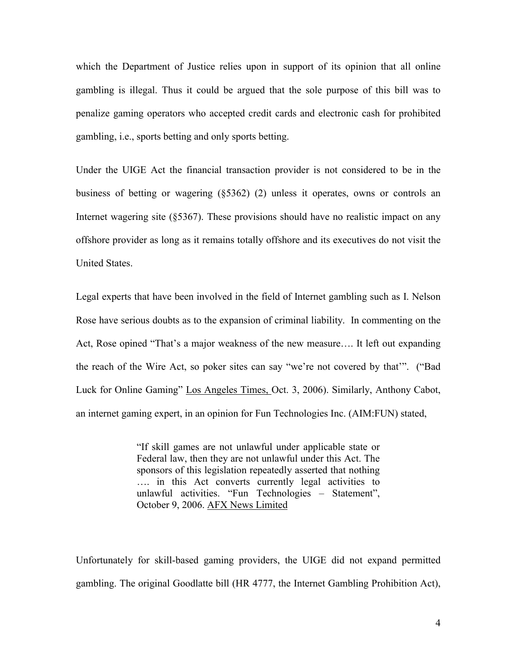which the Department of Justice relies upon in support of its opinion that all online gambling is illegal. Thus it could be argued that the sole purpose of this bill was to penalize gaming operators who accepted credit cards and electronic cash for prohibited gambling, i.e., sports betting and only sports betting.

Under the UIGE Act the financial transaction provider is not considered to be in the business of betting or wagering (§5362) (2) unless it operates, owns or controls an Internet wagering site (§5367). These provisions should have no realistic impact on any offshore provider as long as it remains totally offshore and its executives do not visit the United States.

Legal experts that have been involved in the field of Internet gambling such as I. Nelson Rose have serious doubts as to the expansion of criminal liability. In commenting on the Act, Rose opined "That's a major weakness of the new measure…. It left out expanding the reach of the Wire Act, so poker sites can say "we're not covered by that'". ("Bad Luck for Online Gaming" Los Angeles Times, Oct. 3, 2006). Similarly, Anthony Cabot, an internet gaming expert, in an opinion for Fun Technologies Inc. (AIM:FUN) stated,

> "If skill games are not unlawful under applicable state or Federal law, then they are not unlawful under this Act. The sponsors of this legislation repeatedly asserted that nothing …. in this Act converts currently legal activities to unlawful activities. "Fun Technologies – Statement", October 9, 2006. AFX News Limited

Unfortunately for skill-based gaming providers, the UIGE did not expand permitted gambling. The original Goodlatte bill (HR 4777, the Internet Gambling Prohibition Act),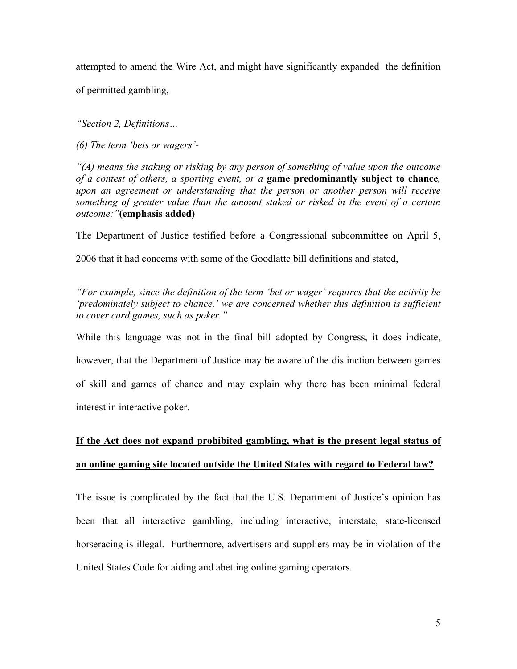attempted to amend the Wire Act, and might have significantly expanded the definition of permitted gambling,

*"Section 2, Definitions…*

*(6) The term 'bets or wagers'-*

*"(A) means the staking or risking by any person of something of value upon the outcome of a contest of others, a sporting event, or a* **game predominantly subject to chance***, upon an agreement or understanding that the person or another person will receive something of greater value than the amount staked or risked in the event of a certain outcome;"***(emphasis added)**

The Department of Justice testified before a Congressional subcommittee on April 5,

2006 that it had concerns with some of the Goodlatte bill definitions and stated,

*"For example, since the definition of the term 'bet or wager' requires that the activity be 'predominately subject to chance,' we are concerned whether this definition is sufficient to cover card games, such as poker."*

While this language was not in the final bill adopted by Congress, it does indicate, however, that the Department of Justice may be aware of the distinction between games of skill and games of chance and may explain why there has been minimal federal interest in interactive poker.

# **If the Act does not expand prohibited gambling, what is the present legal status of an online gaming site located outside the United States with regard to Federal law?**

The issue is complicated by the fact that the U.S. Department of Justice's opinion has been that all interactive gambling, including interactive, interstate, state-licensed horseracing is illegal. Furthermore, advertisers and suppliers may be in violation of the United States Code for aiding and abetting online gaming operators.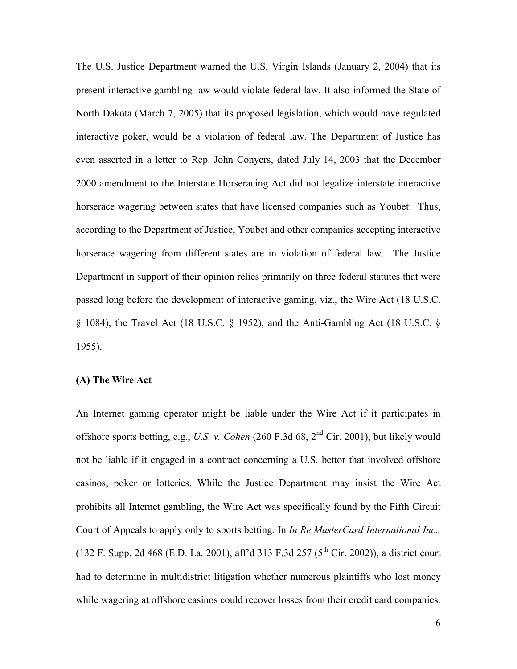The U.S. Justice Department warned the U.S. Virgin Islands (January 2, 2004) that its present interactive gambling law would violate federal law. It also informed the State of North Dakota (March 7, 2005) that its proposed legislation, which would have regulated interactive poker, would be a violation of federal law. The Department of Justice has even asserted in a letter to Rep. John Conyers, dated July 14, 2003 that the December 2000 amendment to the Interstate Horseracing Act did not legalize interstate interactive horserace wagering between states that have licensed companies such as Youbet. Thus, according to the Department of Justice, Youbet and other companies accepting interactive horserace wagering from different states are in violation of federal law. The Justice Department in support of their opinion relies primarily on three federal statutes that were passed long before the development of interactive gaming, viz., the Wire Act (18 U.S.C. § 1084), the Travel Act (18 U.S.C. § 1952), and the Anti-Gambling Act (18 U.S.C. § 1955).

## **(A) The Wire Act**

An Internet gaming operator might be liable under the Wire Act if it participates in offshore sports betting, e.g., *U.S. v. Cohen* (260 F.3d 68, 2nd Cir. 2001), but likely would not be liable if it engaged in a contract concerning a U.S. bettor that involved offshore casinos, poker or lotteries. While the Justice Department may insist the Wire Act prohibits all Internet gambling, the Wire Act was specifically found by the Fifth Circuit Court of Appeals to apply only to sports betting. In *In Re MasterCard International Inc.,* (132 F. Supp. 2d 468 (E.D. La. 2001), aff'd 313 F.3d 257 ( $5<sup>th</sup>$  Cir. 2002)), a district court had to determine in multidistrict litigation whether numerous plaintiffs who lost money while wagering at offshore casinos could recover losses from their credit card companies.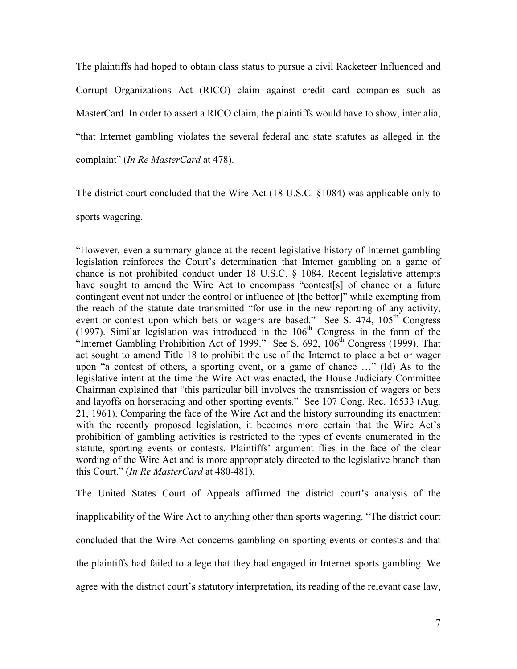The plaintiffs had hoped to obtain class status to pursue a civil Racketeer Influenced and Corrupt Organizations Act (RICO) claim against credit card companies such as MasterCard. In order to assert a RICO claim, the plaintiffs would have to show, inter alia, "that Internet gambling violates the several federal and state statutes as alleged in the complaint" (*In Re MasterCard* at 478).

The district court concluded that the Wire Act (18 U.S.C. §1084) was applicable only to

sports wagering.

"However, even a summary glance at the recent legislative history of Internet gambling legislation reinforces the Court's determination that Internet gambling on a game of chance is not prohibited conduct under 18 U.S.C. § 1084. Recent legislative attempts have sought to amend the Wire Act to encompass "contest[s] of chance or a future contingent event not under the control or influence of [the bettor]" while exempting from the reach of the statute date transmitted "for use in the new reporting of any activity, event or contest upon which bets or wagers are based." See S.  $474$ ,  $105<sup>th</sup>$  Congress (1997). Similar legislation was introduced in the  $106<sup>th</sup>$  Congress in the form of the "Internet Gambling Prohibition Act of 1999." See S. 692,  $106<sup>th</sup>$  Congress (1999). That act sought to amend Title 18 to prohibit the use of the Internet to place a bet or wager upon "a contest of others, a sporting event, or a game of chance …" (Id) As to the legislative intent at the time the Wire Act was enacted, the House Judiciary Committee Chairman explained that "this particular bill involves the transmission of wagers or bets and layoffs on horseracing and other sporting events." See 107 Cong. Rec. 16533 (Aug. 21, 1961). Comparing the face of the Wire Act and the history surrounding its enactment with the recently proposed legislation, it becomes more certain that the Wire Act's prohibition of gambling activities is restricted to the types of events enumerated in the statute, sporting events or contests. Plaintiffs' argument flies in the face of the clear wording of the Wire Act and is more appropriately directed to the legislative branch than this Court." (*In Re MasterCard* at 480-481).

The United States Court of Appeals affirmed the district court's analysis of the inapplicability of the Wire Act to anything other than sports wagering. "The district court concluded that the Wire Act concerns gambling on sporting events or contests and that the plaintiffs had failed to allege that they had engaged in Internet sports gambling. We agree with the district court's statutory interpretation, its reading of the relevant case law,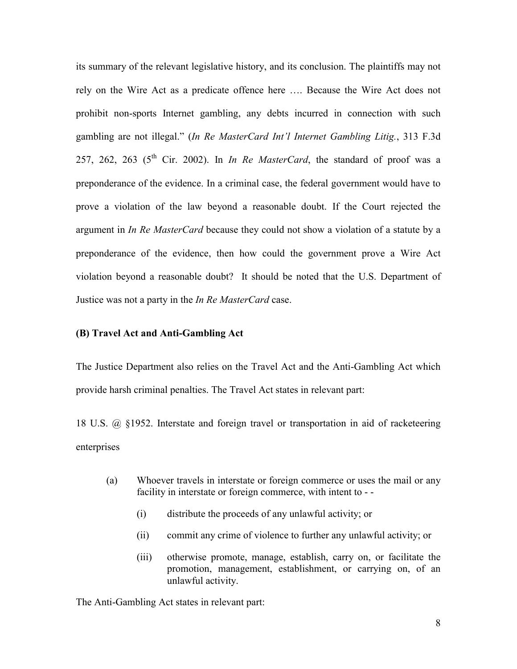its summary of the relevant legislative history, and its conclusion. The plaintiffs may not rely on the Wire Act as a predicate offence here …. Because the Wire Act does not prohibit non-sports Internet gambling, any debts incurred in connection with such gambling are not illegal." (*In Re MasterCard Int'l Internet Gambling Litig.*, 313 F.3d 257, 262, 263 ( $5<sup>th</sup>$  Cir. 2002). In *In Re MasterCard*, the standard of proof was a preponderance of the evidence. In a criminal case, the federal government would have to prove a violation of the law beyond a reasonable doubt. If the Court rejected the argument in *In Re MasterCard* because they could not show a violation of a statute by a preponderance of the evidence, then how could the government prove a Wire Act violation beyond a reasonable doubt? It should be noted that the U.S. Department of Justice was not a party in the *In Re MasterCard* case.

### **(B) Travel Act and Anti-Gambling Act**

The Justice Department also relies on the Travel Act and the Anti-Gambling Act which provide harsh criminal penalties. The Travel Act states in relevant part:

18 U.S. @ §1952. Interstate and foreign travel or transportation in aid of racketeering enterprises

- (a) Whoever travels in interstate or foreign commerce or uses the mail or any facility in interstate or foreign commerce, with intent to - -
	- (i) distribute the proceeds of any unlawful activity; or
	- (ii) commit any crime of violence to further any unlawful activity; or
	- (iii) otherwise promote, manage, establish, carry on, or facilitate the promotion, management, establishment, or carrying on, of an unlawful activity.

The Anti-Gambling Act states in relevant part: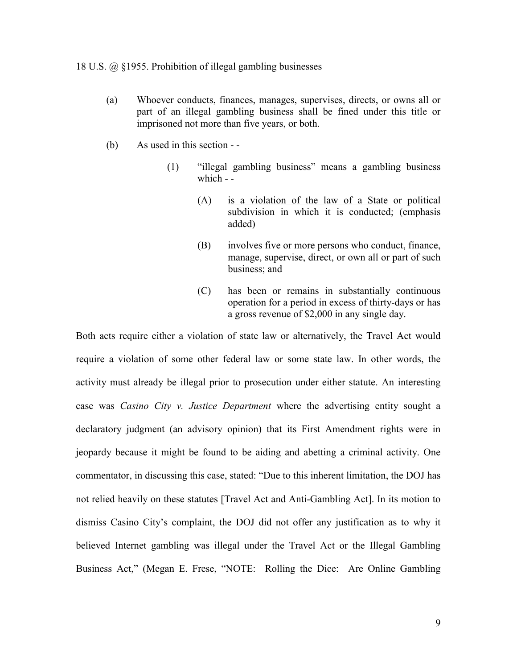#### 18 U.S. @ §1955. Prohibition of illegal gambling businesses

- (a) Whoever conducts, finances, manages, supervises, directs, or owns all or part of an illegal gambling business shall be fined under this title or imprisoned not more than five years, or both.
- (b) As used in this section -
	- (1) "illegal gambling business" means a gambling business which - -
		- (A) is a violation of the law of a State or political subdivision in which it is conducted; (emphasis added)
		- (B) involves five or more persons who conduct, finance, manage, supervise, direct, or own all or part of such business; and
		- (C) has been or remains in substantially continuous operation for a period in excess of thirty-days or has a gross revenue of \$2,000 in any single day.

Both acts require either a violation of state law or alternatively, the Travel Act would require a violation of some other federal law or some state law. In other words, the activity must already be illegal prior to prosecution under either statute. An interesting case was *Casino City v. Justice Department* where the advertising entity sought a declaratory judgment (an advisory opinion) that its First Amendment rights were in jeopardy because it might be found to be aiding and abetting a criminal activity. One commentator, in discussing this case, stated: "Due to this inherent limitation, the DOJ has not relied heavily on these statutes [Travel Act and Anti-Gambling Act]. In its motion to dismiss Casino City's complaint, the DOJ did not offer any justification as to why it believed Internet gambling was illegal under the Travel Act or the Illegal Gambling Business Act," (Megan E. Frese, "NOTE: Rolling the Dice: Are Online Gambling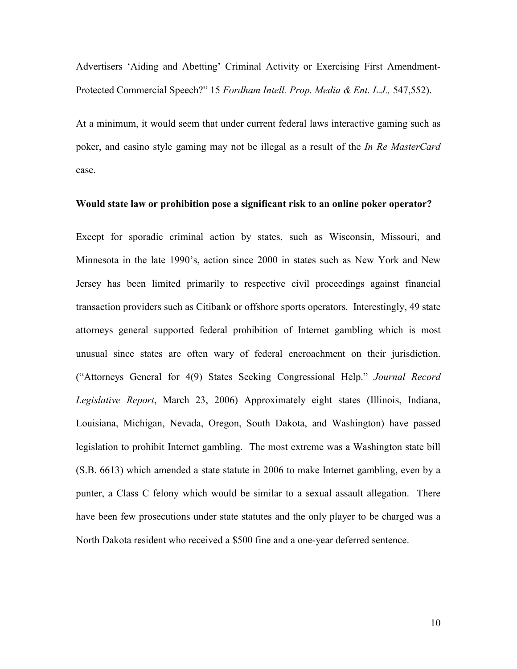Advertisers 'Aiding and Abetting' Criminal Activity or Exercising First Amendment-Protected Commercial Speech?" 15 *Fordham Intell. Prop. Media & Ent. L.J.,* 547,552).

At a minimum, it would seem that under current federal laws interactive gaming such as poker, and casino style gaming may not be illegal as a result of the *In Re MasterCard* case.

#### **Would state law or prohibition pose a significant risk to an online poker operator?**

Except for sporadic criminal action by states, such as Wisconsin, Missouri, and Minnesota in the late 1990's, action since 2000 in states such as New York and New Jersey has been limited primarily to respective civil proceedings against financial transaction providers such as Citibank or offshore sports operators. Interestingly, 49 state attorneys general supported federal prohibition of Internet gambling which is most unusual since states are often wary of federal encroachment on their jurisdiction. ("Attorneys General for 4(9) States Seeking Congressional Help." *Journal Record Legislative Report*, March 23, 2006) Approximately eight states (Illinois, Indiana, Louisiana, Michigan, Nevada, Oregon, South Dakota, and Washington) have passed legislation to prohibit Internet gambling. The most extreme was a Washington state bill (S.B. 6613) which amended a state statute in 2006 to make Internet gambling, even by a punter, a Class C felony which would be similar to a sexual assault allegation. There have been few prosecutions under state statutes and the only player to be charged was a North Dakota resident who received a \$500 fine and a one-year deferred sentence.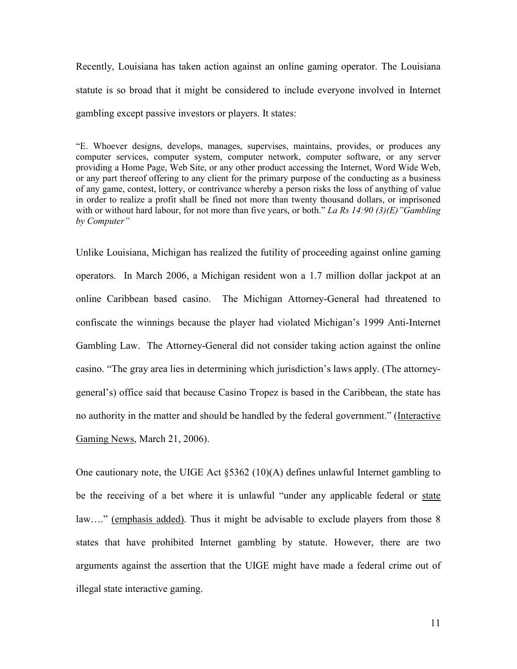Recently, Louisiana has taken action against an online gaming operator. The Louisiana statute is so broad that it might be considered to include everyone involved in Internet gambling except passive investors or players. It states:

"E. Whoever designs, develops, manages, supervises, maintains, provides, or produces any computer services, computer system, computer network, computer software, or any server providing a Home Page, Web Site, or any other product accessing the Internet, Word Wide Web, or any part thereof offering to any client for the primary purpose of the conducting as a business of any game, contest, lottery, or contrivance whereby a person risks the loss of anything of value in order to realize a profit shall be fined not more than twenty thousand dollars, or imprisoned with or without hard labour, for not more than five years, or both." *La Rs 14:90 (3)(E)"Gambling by Computer"*

Unlike Louisiana, Michigan has realized the futility of proceeding against online gaming operators. In March 2006, a Michigan resident won a 1.7 million dollar jackpot at an online Caribbean based casino. The Michigan Attorney-General had threatened to confiscate the winnings because the player had violated Michigan's 1999 Anti-Internet Gambling Law. The Attorney-General did not consider taking action against the online casino. "The gray area lies in determining which jurisdiction's laws apply. (The attorneygeneral's) office said that because Casino Tropez is based in the Caribbean, the state has no authority in the matter and should be handled by the federal government." (Interactive Gaming News, March 21, 2006).

One cautionary note, the UIGE Act §5362 (10)(A) defines unlawful Internet gambling to be the receiving of a bet where it is unlawful "under any applicable federal or state law…." (emphasis added). Thus it might be advisable to exclude players from those 8 states that have prohibited Internet gambling by statute. However, there are two arguments against the assertion that the UIGE might have made a federal crime out of illegal state interactive gaming.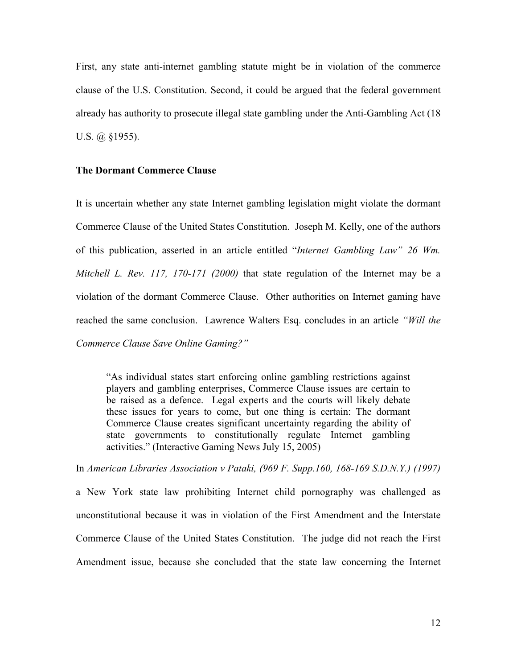First, any state anti-internet gambling statute might be in violation of the commerce clause of the U.S. Constitution. Second, it could be argued that the federal government already has authority to prosecute illegal state gambling under the Anti-Gambling Act (18 U.S. @ §1955).

#### **The Dormant Commerce Clause**

It is uncertain whether any state Internet gambling legislation might violate the dormant Commerce Clause of the United States Constitution. Joseph M. Kelly, one of the authors of this publication, asserted in an article entitled "*Internet Gambling Law" 26 Wm. Mitchell L. Rev. 117, 170-171 (2000)* that state regulation of the Internet may be a violation of the dormant Commerce Clause. Other authorities on Internet gaming have reached the same conclusion. Lawrence Walters Esq. concludes in an article *"Will the Commerce Clause Save Online Gaming?"*

"As individual states start enforcing online gambling restrictions against players and gambling enterprises, Commerce Clause issues are certain to be raised as a defence. Legal experts and the courts will likely debate these issues for years to come, but one thing is certain: The dormant Commerce Clause creates significant uncertainty regarding the ability of state governments to constitutionally regulate Internet gambling activities." (Interactive Gaming News July 15, 2005)

In *American Libraries Association v Pataki, (969 F. Supp.160, 168-169 S.D.N.Y.) (1997)*

a New York state law prohibiting Internet child pornography was challenged as unconstitutional because it was in violation of the First Amendment and the Interstate Commerce Clause of the United States Constitution. The judge did not reach the First Amendment issue, because she concluded that the state law concerning the Internet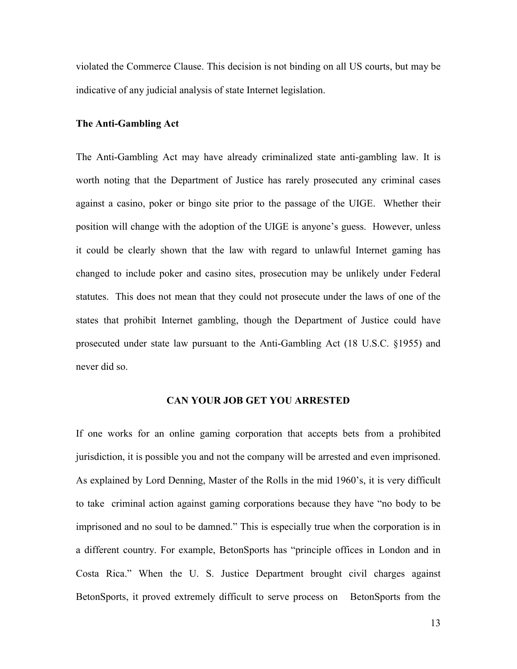violated the Commerce Clause. This decision is not binding on all US courts, but may be indicative of any judicial analysis of state Internet legislation.

#### **The Anti-Gambling Act**

The Anti-Gambling Act may have already criminalized state anti-gambling law. It is worth noting that the Department of Justice has rarely prosecuted any criminal cases against a casino, poker or bingo site prior to the passage of the UIGE. Whether their position will change with the adoption of the UIGE is anyone's guess. However, unless it could be clearly shown that the law with regard to unlawful Internet gaming has changed to include poker and casino sites, prosecution may be unlikely under Federal statutes. This does not mean that they could not prosecute under the laws of one of the states that prohibit Internet gambling, though the Department of Justice could have prosecuted under state law pursuant to the Anti-Gambling Act (18 U.S.C. §1955) and never did so.

## **CAN YOUR JOB GET YOU ARRESTED**

If one works for an online gaming corporation that accepts bets from a prohibited jurisdiction, it is possible you and not the company will be arrested and even imprisoned. As explained by Lord Denning, Master of the Rolls in the mid 1960's, it is very difficult to take criminal action against gaming corporations because they have "no body to be imprisoned and no soul to be damned." This is especially true when the corporation is in a different country. For example, BetonSports has "principle offices in London and in Costa Rica." When the U. S. Justice Department brought civil charges against BetonSports, it proved extremely difficult to serve process on BetonSports from the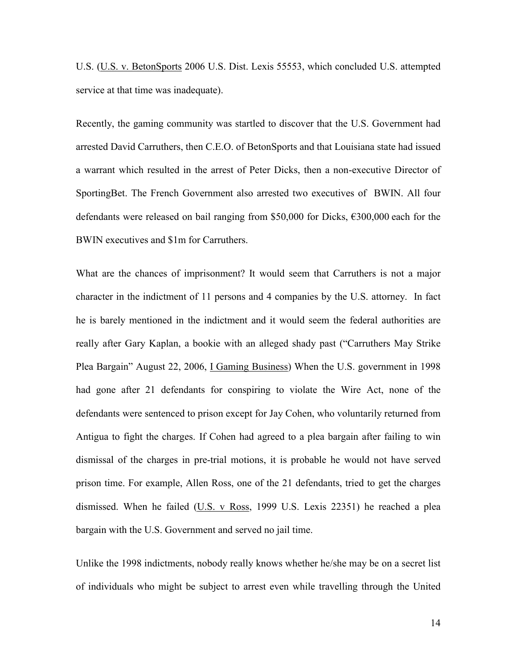U.S. (U.S. v. BetonSports 2006 U.S. Dist. Lexis 55553, which concluded U.S. attempted service at that time was inadequate).

Recently, the gaming community was startled to discover that the U.S. Government had arrested David Carruthers, then C.E.O. of BetonSports and that Louisiana state had issued a warrant which resulted in the arrest of Peter Dicks, then a non-executive Director of SportingBet. The French Government also arrested two executives of BWIN. All four defendants were released on bail ranging from \$50,000 for Dicks, €300,000 each for the BWIN executives and \$1m for Carruthers.

What are the chances of imprisonment? It would seem that Carruthers is not a major character in the indictment of 11 persons and 4 companies by the U.S. attorney. In fact he is barely mentioned in the indictment and it would seem the federal authorities are really after Gary Kaplan, a bookie with an alleged shady past ("Carruthers May Strike Plea Bargain" August 22, 2006, I Gaming Business) When the U.S. government in 1998 had gone after 21 defendants for conspiring to violate the Wire Act, none of the defendants were sentenced to prison except for Jay Cohen, who voluntarily returned from Antigua to fight the charges. If Cohen had agreed to a plea bargain after failing to win dismissal of the charges in pre-trial motions, it is probable he would not have served prison time. For example, Allen Ross, one of the 21 defendants, tried to get the charges dismissed. When he failed (U.S. v Ross, 1999 U.S. Lexis 22351) he reached a plea bargain with the U.S. Government and served no jail time.

Unlike the 1998 indictments, nobody really knows whether he/she may be on a secret list of individuals who might be subject to arrest even while travelling through the United

14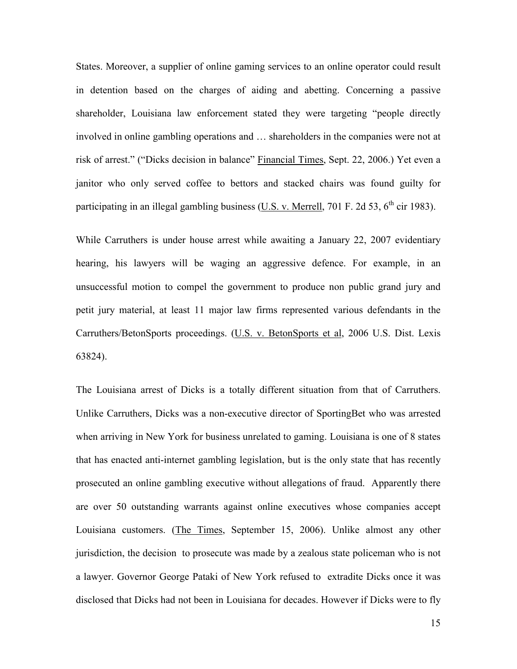States. Moreover, a supplier of online gaming services to an online operator could result in detention based on the charges of aiding and abetting. Concerning a passive shareholder, Louisiana law enforcement stated they were targeting "people directly involved in online gambling operations and … shareholders in the companies were not at risk of arrest." ("Dicks decision in balance" Financial Times, Sept. 22, 2006.) Yet even a janitor who only served coffee to bettors and stacked chairs was found guilty for participating in an illegal gambling business (U.S. v. Merrell, 701 F. 2d 53,  $6<sup>th</sup>$  cir 1983).

While Carruthers is under house arrest while awaiting a January 22, 2007 evidentiary hearing, his lawyers will be waging an aggressive defence. For example, in an unsuccessful motion to compel the government to produce non public grand jury and petit jury material, at least 11 major law firms represented various defendants in the Carruthers/BetonSports proceedings. (U.S. v. BetonSports et al, 2006 U.S. Dist. Lexis 63824).

The Louisiana arrest of Dicks is a totally different situation from that of Carruthers. Unlike Carruthers, Dicks was a non-executive director of SportingBet who was arrested when arriving in New York for business unrelated to gaming. Louisiana is one of 8 states that has enacted anti-internet gambling legislation, but is the only state that has recently prosecuted an online gambling executive without allegations of fraud. Apparently there are over 50 outstanding warrants against online executives whose companies accept Louisiana customers. (The Times, September 15, 2006). Unlike almost any other jurisdiction, the decision to prosecute was made by a zealous state policeman who is not a lawyer. Governor George Pataki of New York refused to extradite Dicks once it was disclosed that Dicks had not been in Louisiana for decades. However if Dicks were to fly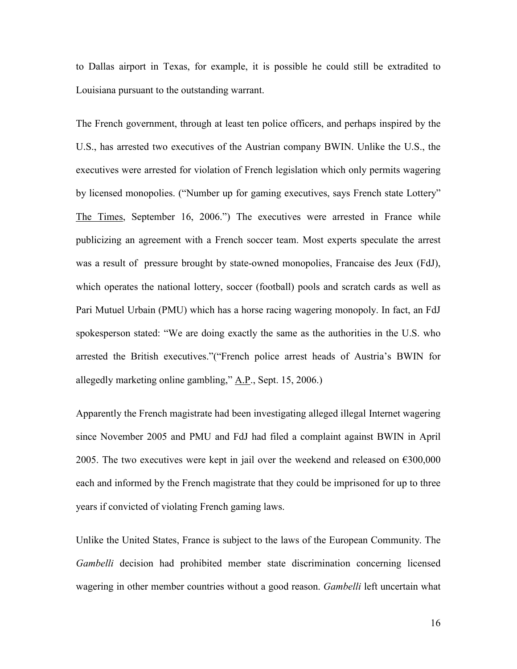to Dallas airport in Texas, for example, it is possible he could still be extradited to Louisiana pursuant to the outstanding warrant.

The French government, through at least ten police officers, and perhaps inspired by the U.S., has arrested two executives of the Austrian company BWIN. Unlike the U.S., the executives were arrested for violation of French legislation which only permits wagering by licensed monopolies. ("Number up for gaming executives, says French state Lottery" The Times, September 16, 2006.") The executives were arrested in France while publicizing an agreement with a French soccer team. Most experts speculate the arrest was a result of pressure brought by state-owned monopolies, Francaise des Jeux (FdJ), which operates the national lottery, soccer (football) pools and scratch cards as well as Pari Mutuel Urbain (PMU) which has a horse racing wagering monopoly. In fact, an FdJ spokesperson stated: "We are doing exactly the same as the authorities in the U.S. who arrested the British executives."("French police arrest heads of Austria's BWIN for allegedly marketing online gambling," A.P., Sept. 15, 2006.)

Apparently the French magistrate had been investigating alleged illegal Internet wagering since November 2005 and PMU and FdJ had filed a complaint against BWIN in April 2005. The two executives were kept in jail over the weekend and released on  $\epsilon$ 300,000 each and informed by the French magistrate that they could be imprisoned for up to three years if convicted of violating French gaming laws.

Unlike the United States, France is subject to the laws of the European Community. The *Gambelli* decision had prohibited member state discrimination concerning licensed wagering in other member countries without a good reason. *Gambelli* left uncertain what

16